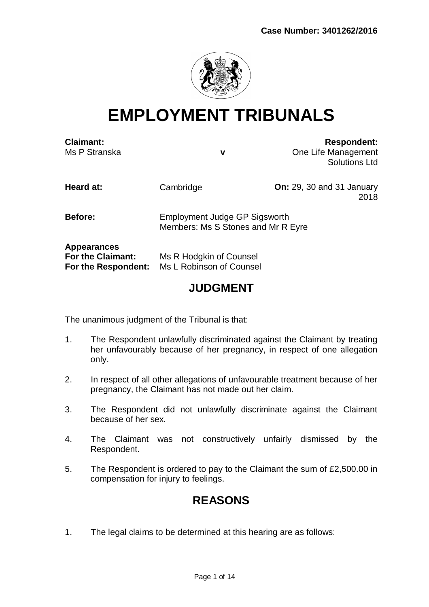

# **EMPLOYMENT TRIBUNALS**

| <b>Claimant:</b><br>Ms P Stranska                                     | v                                                                          | <b>Respondent:</b><br>One Life Management<br><b>Solutions Ltd</b> |
|-----------------------------------------------------------------------|----------------------------------------------------------------------------|-------------------------------------------------------------------|
| Heard at:                                                             | Cambridge                                                                  | <b>On:</b> 29, 30 and 31 January<br>2018                          |
| Before:                                                               | <b>Employment Judge GP Sigsworth</b><br>Members: Ms S Stones and Mr R Eyre |                                                                   |
| <b>Appearances</b><br><b>For the Claimant:</b><br>For the Respondent: | Ms R Hodgkin of Counsel<br>Ms L Robinson of Counsel                        |                                                                   |
| <b>JUDGMENT</b>                                                       |                                                                            |                                                                   |

# The unanimous judgment of the Tribunal is that:

- 1. The Respondent unlawfully discriminated against the Claimant by treating her unfavourably because of her pregnancy, in respect of one allegation only.
- 2. In respect of all other allegations of unfavourable treatment because of her pregnancy, the Claimant has not made out her claim.
- 3. The Respondent did not unlawfully discriminate against the Claimant because of her sex.
- 4. The Claimant was not constructively unfairly dismissed by the Respondent.
- 5. The Respondent is ordered to pay to the Claimant the sum of £2,500.00 in compensation for injury to feelings.

## **REASONS**

1. The legal claims to be determined at this hearing are as follows: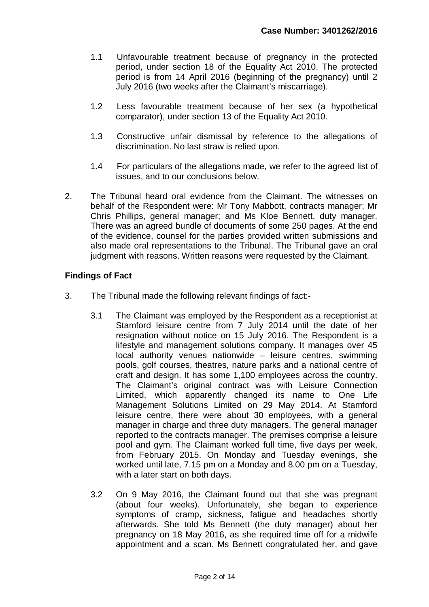- 1.1 Unfavourable treatment because of pregnancy in the protected period, under section 18 of the Equality Act 2010. The protected period is from 14 April 2016 (beginning of the pregnancy) until 2 July 2016 (two weeks after the Claimant's miscarriage).
- 1.2 Less favourable treatment because of her sex (a hypothetical comparator), under section 13 of the Equality Act 2010.
- 1.3 Constructive unfair dismissal by reference to the allegations of discrimination. No last straw is relied upon.
- 1.4 For particulars of the allegations made, we refer to the agreed list of issues, and to our conclusions below.
- 2. The Tribunal heard oral evidence from the Claimant. The witnesses on behalf of the Respondent were: Mr Tony Mabbott, contracts manager; Mr Chris Phillips, general manager; and Ms Kloe Bennett, duty manager. There was an agreed bundle of documents of some 250 pages. At the end of the evidence, counsel for the parties provided written submissions and also made oral representations to the Tribunal. The Tribunal gave an oral judgment with reasons. Written reasons were requested by the Claimant.

### **Findings of Fact**

- 3. The Tribunal made the following relevant findings of fact:-
	- 3.1 The Claimant was employed by the Respondent as a receptionist at Stamford leisure centre from 7 July 2014 until the date of her resignation without notice on 15 July 2016. The Respondent is a lifestyle and management solutions company. It manages over 45 local authority venues nationwide – leisure centres, swimming pools, golf courses, theatres, nature parks and a national centre of craft and design. It has some 1,100 employees across the country. The Claimant's original contract was with Leisure Connection Limited, which apparently changed its name to One Life Management Solutions Limited on 29 May 2014. At Stamford leisure centre, there were about 30 employees, with a general manager in charge and three duty managers. The general manager reported to the contracts manager. The premises comprise a leisure pool and gym. The Claimant worked full time, five days per week, from February 2015. On Monday and Tuesday evenings, she worked until late, 7.15 pm on a Monday and 8.00 pm on a Tuesday, with a later start on both days.
	- 3.2 On 9 May 2016, the Claimant found out that she was pregnant (about four weeks). Unfortunately, she began to experience symptoms of cramp, sickness, fatigue and headaches shortly afterwards. She told Ms Bennett (the duty manager) about her pregnancy on 18 May 2016, as she required time off for a midwife appointment and a scan. Ms Bennett congratulated her, and gave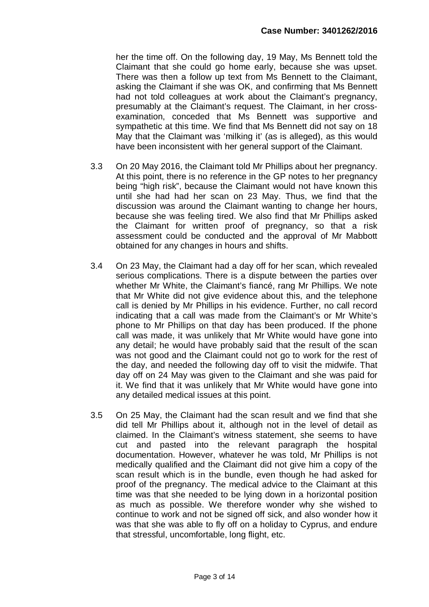her the time off. On the following day, 19 May, Ms Bennett told the Claimant that she could go home early, because she was upset. There was then a follow up text from Ms Bennett to the Claimant, asking the Claimant if she was OK, and confirming that Ms Bennett had not told colleagues at work about the Claimant's pregnancy, presumably at the Claimant's request. The Claimant, in her crossexamination, conceded that Ms Bennett was supportive and sympathetic at this time. We find that Ms Bennett did not say on 18 May that the Claimant was 'milking it' (as is alleged), as this would have been inconsistent with her general support of the Claimant.

- 3.3 On 20 May 2016, the Claimant told Mr Phillips about her pregnancy. At this point, there is no reference in the GP notes to her pregnancy being "high risk", because the Claimant would not have known this until she had had her scan on 23 May. Thus, we find that the discussion was around the Claimant wanting to change her hours, because she was feeling tired. We also find that Mr Phillips asked the Claimant for written proof of pregnancy, so that a risk assessment could be conducted and the approval of Mr Mabbott obtained for any changes in hours and shifts.
- 3.4 On 23 May, the Claimant had a day off for her scan, which revealed serious complications. There is a dispute between the parties over whether Mr White, the Claimant's fiancé, rang Mr Phillips. We note that Mr White did not give evidence about this, and the telephone call is denied by Mr Phillips in his evidence. Further, no call record indicating that a call was made from the Claimant's or Mr White's phone to Mr Phillips on that day has been produced. If the phone call was made, it was unlikely that Mr White would have gone into any detail; he would have probably said that the result of the scan was not good and the Claimant could not go to work for the rest of the day, and needed the following day off to visit the midwife. That day off on 24 May was given to the Claimant and she was paid for it. We find that it was unlikely that Mr White would have gone into any detailed medical issues at this point.
- 3.5 On 25 May, the Claimant had the scan result and we find that she did tell Mr Phillips about it, although not in the level of detail as claimed. In the Claimant's witness statement, she seems to have cut and pasted into the relevant paragraph the hospital documentation. However, whatever he was told, Mr Phillips is not medically qualified and the Claimant did not give him a copy of the scan result which is in the bundle, even though he had asked for proof of the pregnancy. The medical advice to the Claimant at this time was that she needed to be lying down in a horizontal position as much as possible. We therefore wonder why she wished to continue to work and not be signed off sick, and also wonder how it was that she was able to fly off on a holiday to Cyprus, and endure that stressful, uncomfortable, long flight, etc.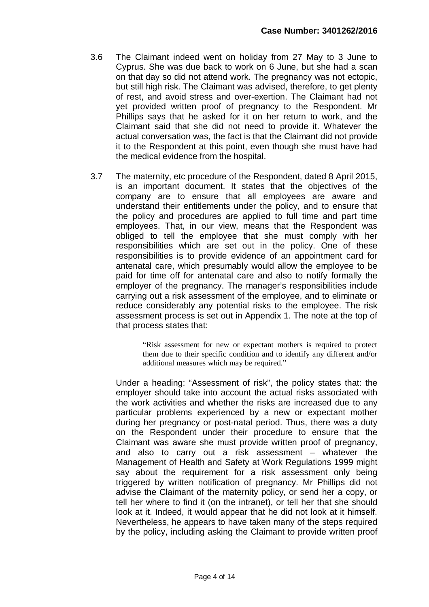- 3.6 The Claimant indeed went on holiday from 27 May to 3 June to Cyprus. She was due back to work on 6 June, but she had a scan on that day so did not attend work. The pregnancy was not ectopic, but still high risk. The Claimant was advised, therefore, to get plenty of rest, and avoid stress and over-exertion. The Claimant had not yet provided written proof of pregnancy to the Respondent. Mr Phillips says that he asked for it on her return to work, and the Claimant said that she did not need to provide it. Whatever the actual conversation was, the fact is that the Claimant did not provide it to the Respondent at this point, even though she must have had the medical evidence from the hospital.
- 3.7 The maternity, etc procedure of the Respondent, dated 8 April 2015, is an important document. It states that the objectives of the company are to ensure that all employees are aware and understand their entitlements under the policy, and to ensure that the policy and procedures are applied to full time and part time employees. That, in our view, means that the Respondent was obliged to tell the employee that she must comply with her responsibilities which are set out in the policy. One of these responsibilities is to provide evidence of an appointment card for antenatal care, which presumably would allow the employee to be paid for time off for antenatal care and also to notify formally the employer of the pregnancy. The manager's responsibilities include carrying out a risk assessment of the employee, and to eliminate or reduce considerably any potential risks to the employee. The risk assessment process is set out in Appendix 1. The note at the top of that process states that:

"Risk assessment for new or expectant mothers is required to protect them due to their specific condition and to identify any different and/or additional measures which may be required."

Under a heading: "Assessment of risk", the policy states that: the employer should take into account the actual risks associated with the work activities and whether the risks are increased due to any particular problems experienced by a new or expectant mother during her pregnancy or post-natal period. Thus, there was a duty on the Respondent under their procedure to ensure that the Claimant was aware she must provide written proof of pregnancy, and also to carry out a risk assessment – whatever the Management of Health and Safety at Work Regulations 1999 might say about the requirement for a risk assessment only being triggered by written notification of pregnancy. Mr Phillips did not advise the Claimant of the maternity policy, or send her a copy, or tell her where to find it (on the intranet), or tell her that she should look at it. Indeed, it would appear that he did not look at it himself. Nevertheless, he appears to have taken many of the steps required by the policy, including asking the Claimant to provide written proof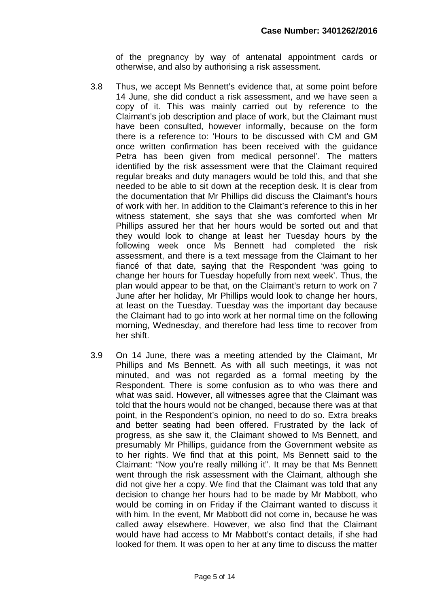of the pregnancy by way of antenatal appointment cards or otherwise, and also by authorising a risk assessment.

- 3.8 Thus, we accept Ms Bennett's evidence that, at some point before 14 June, she did conduct a risk assessment, and we have seen a copy of it. This was mainly carried out by reference to the Claimant's job description and place of work, but the Claimant must have been consulted, however informally, because on the form there is a reference to: 'Hours to be discussed with CM and GM once written confirmation has been received with the guidance Petra has been given from medical personnel'. The matters identified by the risk assessment were that the Claimant required regular breaks and duty managers would be told this, and that she needed to be able to sit down at the reception desk. It is clear from the documentation that Mr Phillips did discuss the Claimant's hours of work with her. In addition to the Claimant's reference to this in her witness statement, she says that she was comforted when Mr Phillips assured her that her hours would be sorted out and that they would look to change at least her Tuesday hours by the following week once Ms Bennett had completed the risk assessment, and there is a text message from the Claimant to her fiancé of that date, saying that the Respondent 'was going to change her hours for Tuesday hopefully from next week'. Thus, the plan would appear to be that, on the Claimant's return to work on 7 June after her holiday, Mr Phillips would look to change her hours, at least on the Tuesday. Tuesday was the important day because the Claimant had to go into work at her normal time on the following morning, Wednesday, and therefore had less time to recover from her shift.
- 3.9 On 14 June, there was a meeting attended by the Claimant, Mr Phillips and Ms Bennett. As with all such meetings, it was not minuted, and was not regarded as a formal meeting by the Respondent. There is some confusion as to who was there and what was said. However, all witnesses agree that the Claimant was told that the hours would not be changed, because there was at that point, in the Respondent's opinion, no need to do so. Extra breaks and better seating had been offered. Frustrated by the lack of progress, as she saw it, the Claimant showed to Ms Bennett, and presumably Mr Phillips, guidance from the Government website as to her rights. We find that at this point, Ms Bennett said to the Claimant: "Now you're really milking it". It may be that Ms Bennett went through the risk assessment with the Claimant, although she did not give her a copy. We find that the Claimant was told that any decision to change her hours had to be made by Mr Mabbott, who would be coming in on Friday if the Claimant wanted to discuss it with him. In the event, Mr Mabbott did not come in, because he was called away elsewhere. However, we also find that the Claimant would have had access to Mr Mabbott's contact details, if she had looked for them. It was open to her at any time to discuss the matter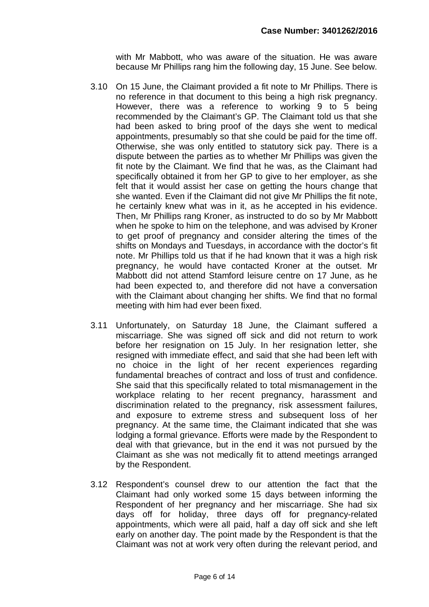with Mr Mabbott, who was aware of the situation. He was aware because Mr Phillips rang him the following day, 15 June. See below.

- 3.10 On 15 June, the Claimant provided a fit note to Mr Phillips. There is no reference in that document to this being a high risk pregnancy. However, there was a reference to working 9 to 5 being recommended by the Claimant's GP. The Claimant told us that she had been asked to bring proof of the days she went to medical appointments, presumably so that she could be paid for the time off. Otherwise, she was only entitled to statutory sick pay. There is a dispute between the parties as to whether Mr Phillips was given the fit note by the Claimant. We find that he was, as the Claimant had specifically obtained it from her GP to give to her employer, as she felt that it would assist her case on getting the hours change that she wanted. Even if the Claimant did not give Mr Phillips the fit note, he certainly knew what was in it, as he accepted in his evidence. Then, Mr Phillips rang Kroner, as instructed to do so by Mr Mabbott when he spoke to him on the telephone, and was advised by Kroner to get proof of pregnancy and consider altering the times of the shifts on Mondays and Tuesdays, in accordance with the doctor's fit note. Mr Phillips told us that if he had known that it was a high risk pregnancy, he would have contacted Kroner at the outset. Mr Mabbott did not attend Stamford leisure centre on 17 June, as he had been expected to, and therefore did not have a conversation with the Claimant about changing her shifts. We find that no formal meeting with him had ever been fixed.
- 3.11 Unfortunately, on Saturday 18 June, the Claimant suffered a miscarriage. She was signed off sick and did not return to work before her resignation on 15 July. In her resignation letter, she resigned with immediate effect, and said that she had been left with no choice in the light of her recent experiences regarding fundamental breaches of contract and loss of trust and confidence. She said that this specifically related to total mismanagement in the workplace relating to her recent pregnancy, harassment and discrimination related to the pregnancy, risk assessment failures, and exposure to extreme stress and subsequent loss of her pregnancy. At the same time, the Claimant indicated that she was lodging a formal grievance. Efforts were made by the Respondent to deal with that grievance, but in the end it was not pursued by the Claimant as she was not medically fit to attend meetings arranged by the Respondent.
- 3.12 Respondent's counsel drew to our attention the fact that the Claimant had only worked some 15 days between informing the Respondent of her pregnancy and her miscarriage. She had six days off for holiday, three days off for pregnancy-related appointments, which were all paid, half a day off sick and she left early on another day. The point made by the Respondent is that the Claimant was not at work very often during the relevant period, and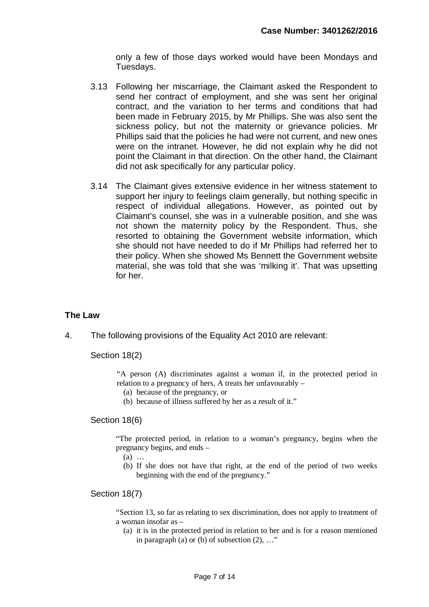only a few of those days worked would have been Mondays and Tuesdays.

- 3.13 Following her miscarriage, the Claimant asked the Respondent to send her contract of employment, and she was sent her original contract, and the variation to her terms and conditions that had been made in February 2015, by Mr Phillips. She was also sent the sickness policy, but not the maternity or grievance policies. Mr Phillips said that the policies he had were not current, and new ones were on the intranet. However, he did not explain why he did not point the Claimant in that direction. On the other hand, the Claimant did not ask specifically for any particular policy.
- 3.14 The Claimant gives extensive evidence in her witness statement to support her injury to feelings claim generally, but nothing specific in respect of individual allegations. However, as pointed out by Claimant's counsel, she was in a vulnerable position, and she was not shown the maternity policy by the Respondent. Thus, she resorted to obtaining the Government website information, which she should not have needed to do if Mr Phillips had referred her to their policy. When she showed Ms Bennett the Government website material, she was told that she was 'milking it'. That was upsetting for her.

#### **The Law**

4. The following provisions of the Equality Act 2010 are relevant:

Section 18(2)

"A person (A) discriminates against a woman if, in the protected period in relation to a pregnancy of hers, A treats her unfavourably –

- (a) because of the pregnancy, or
- (b) because of illness suffered by her as a result of it."

Section 18(6)

"The protected period, in relation to a woman's pregnancy, begins when the pregnancy begins, and ends –

- (a) …
- (b) If she does not have that right, at the end of the period of two weeks beginning with the end of the pregnancy."

Section 18(7)

"Section 13, so far as relating to sex discrimination, does not apply to treatment of a woman insofar as –

(a) it is in the protected period in relation to her and is for a reason mentioned in paragraph (a) or (b) of subsection  $(2)$ , ..."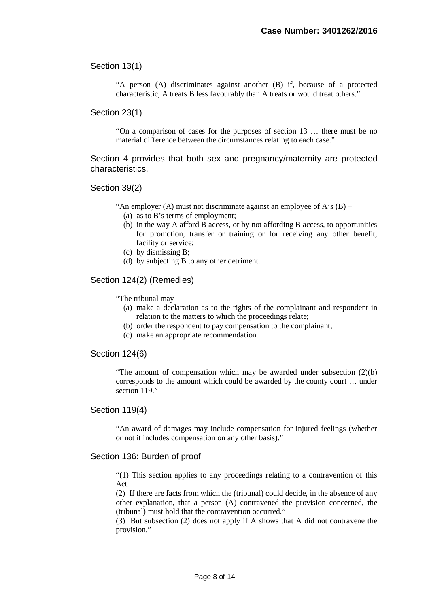Section 13(1)

"A person (A) discriminates against another (B) if, because of a protected characteristic, A treats B less favourably than A treats or would treat others."

Section 23(1)

"On a comparison of cases for the purposes of section 13 … there must be no material difference between the circumstances relating to each case."

Section 4 provides that both sex and pregnancy/maternity are protected characteristics.

#### Section 39(2)

"An employer (A) must not discriminate against an employee of  $A$ 's (B) –

- (a) as to B's terms of employment;
- (b) in the way A afford B access, or by not affording B access, to opportunities for promotion, transfer or training or for receiving any other benefit, facility or service;
- (c) by dismissing B;
- (d) by subjecting B to any other detriment.

#### Section 124(2) (Remedies)

"The tribunal may –

- (a) make a declaration as to the rights of the complainant and respondent in relation to the matters to which the proceedings relate;
- (b) order the respondent to pay compensation to the complainant;
- (c) make an appropriate recommendation.

#### Section 124(6)

"The amount of compensation which may be awarded under subsection (2)(b) corresponds to the amount which could be awarded by the county court … under section 119."

#### Section 119(4)

"An award of damages may include compensation for injured feelings (whether or not it includes compensation on any other basis)."

#### Section 136: Burden of proof

"(1) This section applies to any proceedings relating to a contravention of this Act.

(2) If there are facts from which the (tribunal) could decide, in the absence of any other explanation, that a person (A) contravened the provision concerned, the (tribunal) must hold that the contravention occurred."

(3) But subsection (2) does not apply if A shows that A did not contravene the provision."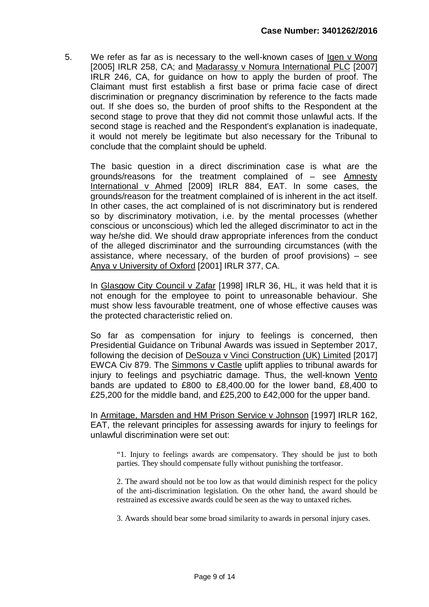5. We refer as far as is necessary to the well-known cases of Igen v Wong [2005] IRLR 258, CA; and Madarassy v Nomura International PLC [2007] IRLR 246, CA, for guidance on how to apply the burden of proof. The Claimant must first establish a first base or prima facie case of direct discrimination or pregnancy discrimination by reference to the facts made out. If she does so, the burden of proof shifts to the Respondent at the second stage to prove that they did not commit those unlawful acts. If the second stage is reached and the Respondent's explanation is inadequate, it would not merely be legitimate but also necessary for the Tribunal to conclude that the complaint should be upheld.

The basic question in a direct discrimination case is what are the grounds/reasons for the treatment complained of – see Amnesty International v Ahmed [2009] IRLR 884, EAT. In some cases, the grounds/reason for the treatment complained of is inherent in the act itself. In other cases, the act complained of is not discriminatory but is rendered so by discriminatory motivation, i.e. by the mental processes (whether conscious or unconscious) which led the alleged discriminator to act in the way he/she did. We should draw appropriate inferences from the conduct of the alleged discriminator and the surrounding circumstances (with the assistance, where necessary, of the burden of proof provisions) – see Anya v University of Oxford [2001] IRLR 377, CA.

In Glasgow City Council v Zafar [1998] IRLR 36, HL, it was held that it is not enough for the employee to point to unreasonable behaviour. She must show less favourable treatment, one of whose effective causes was the protected characteristic relied on.

So far as compensation for injury to feelings is concerned, then Presidential Guidance on Tribunal Awards was issued in September 2017, following the decision of DeSouza v Vinci Construction (UK) Limited [2017] EWCA Civ 879. The Simmons v Castle uplift applies to tribunal awards for injury to feelings and psychiatric damage. Thus, the well-known Vento bands are updated to £800 to £8,400.00 for the lower band, £8,400 to £25,200 for the middle band, and £25,200 to £42,000 for the upper band.

In Armitage, Marsden and HM Prison Service v Johnson [1997] IRLR 162, EAT, the relevant principles for assessing awards for injury to feelings for unlawful discrimination were set out:

"1. Injury to feelings awards are compensatory. They should be just to both parties. They should compensate fully without punishing the tortfeasor.

2. The award should not be too low as that would diminish respect for the policy of the anti-discrimination legislation. On the other hand, the award should be restrained as excessive awards could be seen as the way to untaxed riches.

3. Awards should bear some broad similarity to awards in personal injury cases.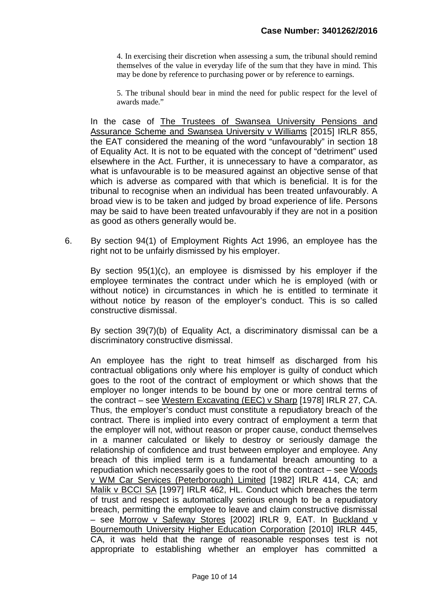4. In exercising their discretion when assessing a sum, the tribunal should remind themselves of the value in everyday life of the sum that they have in mind. This may be done by reference to purchasing power or by reference to earnings.

5. The tribunal should bear in mind the need for public respect for the level of awards made."

In the case of The Trustees of Swansea University Pensions and Assurance Scheme and Swansea University v Williams [2015] IRLR 855, the EAT considered the meaning of the word "unfavourably" in section 18 of Equality Act. It is not to be equated with the concept of "detriment" used elsewhere in the Act. Further, it is unnecessary to have a comparator, as what is unfavourable is to be measured against an objective sense of that which is adverse as compared with that which is beneficial. It is for the tribunal to recognise when an individual has been treated unfavourably. A broad view is to be taken and judged by broad experience of life. Persons may be said to have been treated unfavourably if they are not in a position as good as others generally would be.

6. By section 94(1) of Employment Rights Act 1996, an employee has the right not to be unfairly dismissed by his employer.

By section 95(1)(c), an employee is dismissed by his employer if the employee terminates the contract under which he is employed (with or without notice) in circumstances in which he is entitled to terminate it without notice by reason of the employer's conduct. This is so called constructive dismissal.

By section 39(7)(b) of Equality Act, a discriminatory dismissal can be a discriminatory constructive dismissal.

An employee has the right to treat himself as discharged from his contractual obligations only where his employer is guilty of conduct which goes to the root of the contract of employment or which shows that the employer no longer intends to be bound by one or more central terms of the contract – see Western Excavating (EEC) v Sharp [1978] IRLR 27, CA. Thus, the employer's conduct must constitute a repudiatory breach of the contract. There is implied into every contract of employment a term that the employer will not, without reason or proper cause, conduct themselves in a manner calculated or likely to destroy or seriously damage the relationship of confidence and trust between employer and employee. Any breach of this implied term is a fundamental breach amounting to a repudiation which necessarily goes to the root of the contract – see Woods v WM Car Services (Peterborough) Limited [1982] IRLR 414, CA; and Malik v BCCI SA [1997] IRLR 462, HL. Conduct which breaches the term of trust and respect is automatically serious enough to be a repudiatory breach, permitting the employee to leave and claim constructive dismissal – see Morrow v Safeway Stores [2002] IRLR 9, EAT. In Buckland v Bournemouth University Higher Education Corporation [2010] IRLR 445, CA, it was held that the range of reasonable responses test is not appropriate to establishing whether an employer has committed a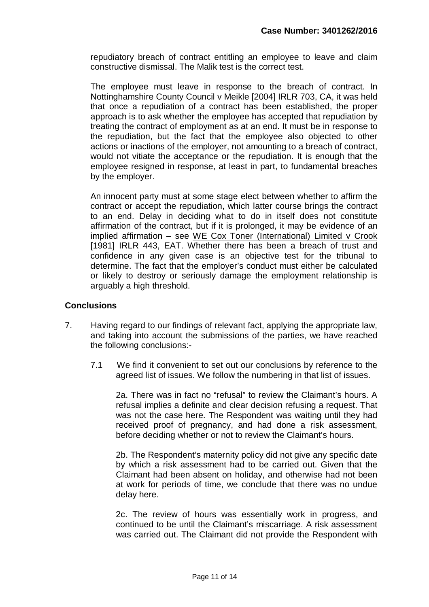repudiatory breach of contract entitling an employee to leave and claim constructive dismissal. The Malik test is the correct test.

The employee must leave in response to the breach of contract. In Nottinghamshire County Council v Meikle [2004] IRLR 703, CA, it was held that once a repudiation of a contract has been established, the proper approach is to ask whether the employee has accepted that repudiation by treating the contract of employment as at an end. It must be in response to the repudiation, but the fact that the employee also objected to other actions or inactions of the employer, not amounting to a breach of contract, would not vitiate the acceptance or the repudiation. It is enough that the employee resigned in response, at least in part, to fundamental breaches by the employer.

An innocent party must at some stage elect between whether to affirm the contract or accept the repudiation, which latter course brings the contract to an end. Delay in deciding what to do in itself does not constitute affirmation of the contract, but if it is prolonged, it may be evidence of an implied affirmation – see WE Cox Toner (International) Limited v Crook [1981] IRLR 443, EAT. Whether there has been a breach of trust and confidence in any given case is an objective test for the tribunal to determine. The fact that the employer's conduct must either be calculated or likely to destroy or seriously damage the employment relationship is arguably a high threshold.

### **Conclusions**

- 7. Having regard to our findings of relevant fact, applying the appropriate law, and taking into account the submissions of the parties, we have reached the following conclusions:-
	- 7.1 We find it convenient to set out our conclusions by reference to the agreed list of issues. We follow the numbering in that list of issues.

2a. There was in fact no "refusal" to review the Claimant's hours. A refusal implies a definite and clear decision refusing a request. That was not the case here. The Respondent was waiting until they had received proof of pregnancy, and had done a risk assessment, before deciding whether or not to review the Claimant's hours.

2b. The Respondent's maternity policy did not give any specific date by which a risk assessment had to be carried out. Given that the Claimant had been absent on holiday, and otherwise had not been at work for periods of time, we conclude that there was no undue delay here.

2c. The review of hours was essentially work in progress, and continued to be until the Claimant's miscarriage. A risk assessment was carried out. The Claimant did not provide the Respondent with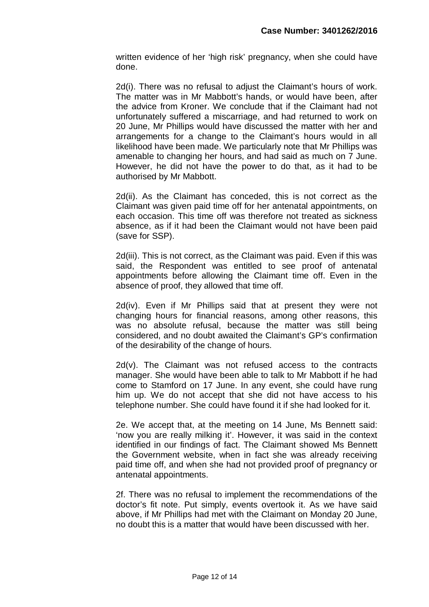written evidence of her 'high risk' pregnancy, when she could have done.

2d(i). There was no refusal to adjust the Claimant's hours of work. The matter was in Mr Mabbott's hands, or would have been, after the advice from Kroner. We conclude that if the Claimant had not unfortunately suffered a miscarriage, and had returned to work on 20 June, Mr Phillips would have discussed the matter with her and arrangements for a change to the Claimant's hours would in all likelihood have been made. We particularly note that Mr Phillips was amenable to changing her hours, and had said as much on 7 June. However, he did not have the power to do that, as it had to be authorised by Mr Mabbott.

2d(ii). As the Claimant has conceded, this is not correct as the Claimant was given paid time off for her antenatal appointments, on each occasion. This time off was therefore not treated as sickness absence, as if it had been the Claimant would not have been paid (save for SSP).

2d(iii). This is not correct, as the Claimant was paid. Even if this was said, the Respondent was entitled to see proof of antenatal appointments before allowing the Claimant time off. Even in the absence of proof, they allowed that time off.

2d(iv). Even if Mr Phillips said that at present they were not changing hours for financial reasons, among other reasons, this was no absolute refusal, because the matter was still being considered, and no doubt awaited the Claimant's GP's confirmation of the desirability of the change of hours.

2d(v). The Claimant was not refused access to the contracts manager. She would have been able to talk to Mr Mabbott if he had come to Stamford on 17 June. In any event, she could have rung him up. We do not accept that she did not have access to his telephone number. She could have found it if she had looked for it.

2e. We accept that, at the meeting on 14 June, Ms Bennett said: 'now you are really milking it'. However, it was said in the context identified in our findings of fact. The Claimant showed Ms Bennett the Government website, when in fact she was already receiving paid time off, and when she had not provided proof of pregnancy or antenatal appointments.

2f. There was no refusal to implement the recommendations of the doctor's fit note. Put simply, events overtook it. As we have said above, if Mr Phillips had met with the Claimant on Monday 20 June, no doubt this is a matter that would have been discussed with her.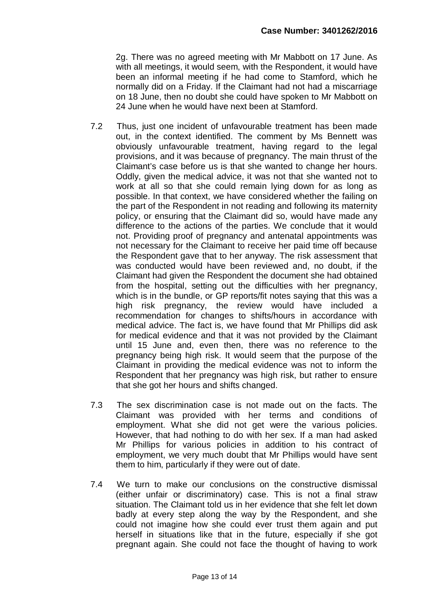2g. There was no agreed meeting with Mr Mabbott on 17 June. As with all meetings, it would seem, with the Respondent, it would have been an informal meeting if he had come to Stamford, which he normally did on a Friday. If the Claimant had not had a miscarriage on 18 June, then no doubt she could have spoken to Mr Mabbott on 24 June when he would have next been at Stamford.

- 7.2 Thus, just one incident of unfavourable treatment has been made out, in the context identified. The comment by Ms Bennett was obviously unfavourable treatment, having regard to the legal provisions, and it was because of pregnancy. The main thrust of the Claimant's case before us is that she wanted to change her hours. Oddly, given the medical advice, it was not that she wanted not to work at all so that she could remain lying down for as long as possible. In that context, we have considered whether the failing on the part of the Respondent in not reading and following its maternity policy, or ensuring that the Claimant did so, would have made any difference to the actions of the parties. We conclude that it would not. Providing proof of pregnancy and antenatal appointments was not necessary for the Claimant to receive her paid time off because the Respondent gave that to her anyway. The risk assessment that was conducted would have been reviewed and, no doubt, if the Claimant had given the Respondent the document she had obtained from the hospital, setting out the difficulties with her pregnancy, which is in the bundle, or GP reports/fit notes saying that this was a high risk pregnancy, the review would have included a recommendation for changes to shifts/hours in accordance with medical advice. The fact is, we have found that Mr Phillips did ask for medical evidence and that it was not provided by the Claimant until 15 June and, even then, there was no reference to the pregnancy being high risk. It would seem that the purpose of the Claimant in providing the medical evidence was not to inform the Respondent that her pregnancy was high risk, but rather to ensure that she got her hours and shifts changed.
- 7.3 The sex discrimination case is not made out on the facts. The Claimant was provided with her terms and conditions of employment. What she did not get were the various policies. However, that had nothing to do with her sex. If a man had asked Mr Phillips for various policies in addition to his contract of employment, we very much doubt that Mr Phillips would have sent them to him, particularly if they were out of date.
- 7.4 We turn to make our conclusions on the constructive dismissal (either unfair or discriminatory) case. This is not a final straw situation. The Claimant told us in her evidence that she felt let down badly at every step along the way by the Respondent, and she could not imagine how she could ever trust them again and put herself in situations like that in the future, especially if she got pregnant again. She could not face the thought of having to work